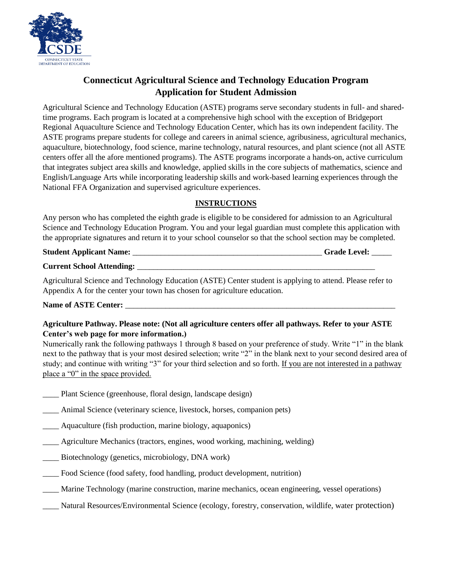

# **Connecticut Agricultural Science and Technology Education Program Application for Student Admission**

Agricultural Science and Technology Education (ASTE) programs serve secondary students in full- and sharedtime programs. Each program is located at a comprehensive high school with the exception of Bridgeport Regional Aquaculture Science and Technology Education Center, which has its own independent facility. The ASTE programs prepare students for college and careers in animal science, agribusiness, agricultural mechanics, aquaculture, biotechnology, food science, marine technology, natural resources, and plant science (not all ASTE centers offer all the afore mentioned programs). The ASTE programs incorporate a hands-on, active curriculum that integrates subject area skills and knowledge, applied skills in the core subjects of mathematics, science and English/Language Arts while incorporating leadership skills and work-based learning experiences through the National FFA Organization and supervised agriculture experiences.

## **INSTRUCTIONS**

Any person who has completed the eighth grade is eligible to be considered for admission to an Agricultural Science and Technology Education Program. You and your legal guardian must complete this application with the appropriate signatures and return it to your school counselor so that the school section may be completed.

| <b>Student Applicant Name:</b> | <b>Grade Level:</b> |  |
|--------------------------------|---------------------|--|
| —                              |                     |  |

**Current School Attending:** \_\_\_\_\_\_\_\_\_\_\_\_\_\_\_\_\_\_\_\_\_\_\_\_\_\_\_\_\_\_\_\_\_\_\_\_\_\_\_\_\_\_\_\_\_\_\_\_\_\_\_\_\_\_\_\_\_\_\_

Agricultural Science and Technology Education (ASTE) Center student is applying to attend. Please refer to Appendix A for the center your town has chosen for agriculture education.

### Name of ASTE Center:

### **Agriculture Pathway. Please note: (Not all agriculture centers offer all pathways. Refer to your ASTE Center's web page for more information.)**

Numerically rank the following pathways 1 through 8 based on your preference of study. Write "1" in the blank next to the pathway that is your most desired selection; write "2" in the blank next to your second desired area of study; and continue with writing "3" for your third selection and so forth. If you are not interested in a pathway place a "0" in the space provided.

- \_\_\_\_ Plant Science (greenhouse, floral design, landscape design)
- \_\_\_\_ Animal Science (veterinary science, livestock, horses, companion pets)
- \_\_\_\_ Aquaculture (fish production, marine biology, aquaponics)
- \_\_\_\_ Agriculture Mechanics (tractors, engines, wood working, machining, welding)
- \_\_\_\_ Biotechnology (genetics, microbiology, DNA work)
- Food Science (food safety, food handling, product development, nutrition)
- \_\_\_\_ Marine Technology (marine construction, marine mechanics, ocean engineering, vessel operations)
- \_\_\_\_ Natural Resources/Environmental Science (ecology, forestry, conservation, wildlife, water protection)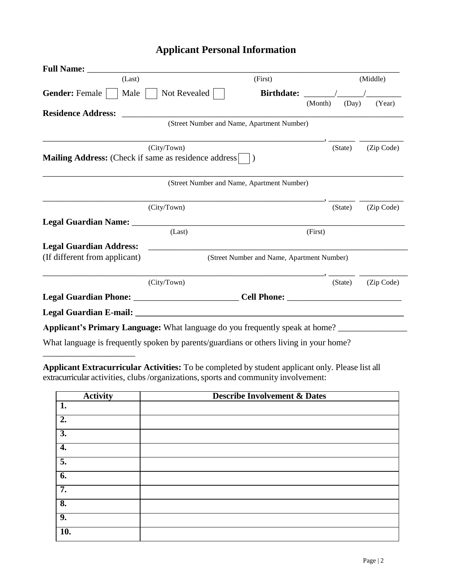# **Applicant Personal Information**

| <b>Full Name:</b>                                                                      |                                            |                                            |         |         |            |
|----------------------------------------------------------------------------------------|--------------------------------------------|--------------------------------------------|---------|---------|------------|
| (Last)                                                                                 |                                            | (First)                                    |         |         | (Middle)   |
| <b>Gender: Female</b><br>Male                                                          | Not Revealed                               | <b>Birthdate:</b>                          |         |         |            |
|                                                                                        |                                            |                                            | (Month) | (Day)   | (Year)     |
| <b>Residence Address:</b>                                                              | (Street Number and Name, Apartment Number) |                                            |         |         |            |
|                                                                                        |                                            |                                            |         |         |            |
|                                                                                        | (City/Town)                                |                                            |         | (State) | (Zip Code) |
| <b>Mailing Address:</b> (Check if same as residence address)                           |                                            | $\lambda$                                  |         |         |            |
|                                                                                        |                                            |                                            |         |         |            |
|                                                                                        | (Street Number and Name, Apartment Number) |                                            |         |         |            |
|                                                                                        |                                            |                                            |         |         |            |
|                                                                                        | (City/Town)                                |                                            |         | (State) | (Zip Code) |
| Legal Guardian Name: _                                                                 |                                            |                                            |         |         |            |
|                                                                                        | (Last)                                     |                                            | (First) |         |            |
| <b>Legal Guardian Address:</b>                                                         |                                            |                                            |         |         |            |
| (If different from applicant)                                                          |                                            | (Street Number and Name, Apartment Number) |         |         |            |
|                                                                                        |                                            |                                            |         |         |            |
|                                                                                        | (City/Town)                                |                                            |         | (State) | (Zip Code) |
| Legal Guardian Phone: _________________________________Cell Phone: _                   |                                            |                                            |         |         |            |
|                                                                                        |                                            |                                            |         |         |            |
| Applicant's Primary Language: What language do you frequently speak at home?           |                                            |                                            |         |         |            |
| What language is frequently spoken by parents/guardians or others living in your home? |                                            |                                            |         |         |            |
|                                                                                        |                                            |                                            |         |         |            |

**Applicant Extracurricular Activities:** To be completed by student applicant only. Please list all extracurricular activities, clubs/organizations,sports and community involvement:

\_\_\_\_\_\_\_\_\_\_\_\_\_\_\_\_\_\_\_\_\_

| <b>Activity</b>           | <b>Describe Involvement &amp; Dates</b> |
|---------------------------|-----------------------------------------|
| 1.                        |                                         |
| $\overline{2}$ .          |                                         |
| $\overline{3}$ .          |                                         |
| $\overline{4}$ .          |                                         |
| $\overline{5}$ .          |                                         |
| $\overline{6}$ .          |                                         |
| 7.                        |                                         |
| $\overline{\mathbf{8}}$ . |                                         |
| 9.                        |                                         |
| $\overline{10}$ .         |                                         |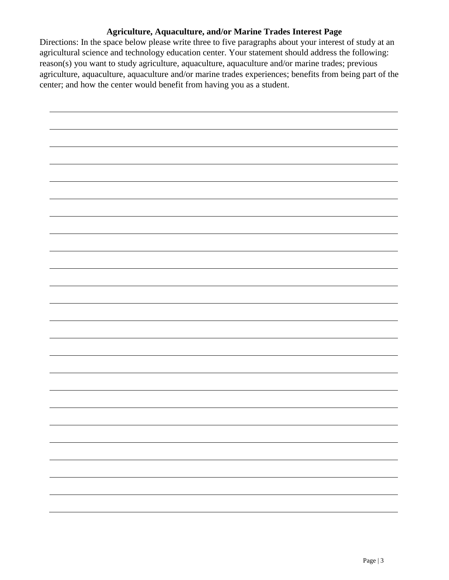## **Agriculture, Aquaculture, and/or Marine Trades Interest Page**

Directions: In the space below please write three to five paragraphs about your interest of study at an agricultural science and technology education center. Your statement should address the following: reason(s) you want to study agriculture, aquaculture, aquaculture and/or marine trades; previous agriculture, aquaculture, aquaculture and/or marine trades experiences; benefits from being part of the center; and how the center would benefit from having you as a student.

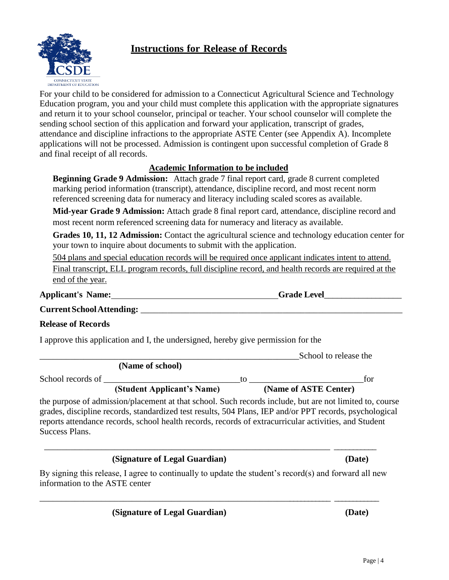# **Instructions for Release of Records**



For your child to be considered for admission to a Connecticut Agricultural Science and Technology Education program, you and your child must complete this application with the appropriate signatures and return it to your school counselor, principal or teacher. Your school counselor will complete the sending school section of this application and forward your application, transcript of grades, attendance and discipline infractions to the appropriate ASTE Center (see Appendix A). Incomplete applications will not be processed. Admission is contingent upon successful completion of Grade 8 and final receipt of all records.

## **Academic Information to be included**

**Beginning Grade 9 Admission:** Attach grade 7 final report card, grade 8 current completed marking period information (transcript), attendance, discipline record, and most recent norm referenced screening data for numeracy and literacy including scaled scores as available.

**Mid-year Grade 9 Admission:** Attach grade 8 final report card, attendance, discipline record and most recent norm referenced screening data for numeracy and literacy as available.

**Grades 10, 11, 12 Admission:** Contact the agricultural science and technology education center for your town to inquire about documents to submit with the application.

504 plans and special education records will be required once applicant indicates intent to attend. Final transcript, ELL program records, full discipline record, and health records are required at the end of the year.

**Applicant's Name: Grade Level**\_\_\_\_\_\_\_\_\_\_\_\_\_\_\_\_\_\_

**CurrentSchoolAttending:** \_\_\_\_\_\_\_\_\_\_\_\_\_\_\_\_\_\_\_\_\_\_\_\_\_\_\_\_\_\_\_\_\_\_\_\_\_\_\_\_\_\_\_\_\_\_\_\_\_\_\_\_\_\_\_\_\_\_\_

## **Release of Records**

I approve this application and I, the undersigned, hereby give permission for the

|                   |                            |    | School to release the |     |
|-------------------|----------------------------|----|-----------------------|-----|
|                   | (Name of school)           |    |                       |     |
| School records of |                            | īΩ |                       | for |
|                   | (Student Applicant's Name) |    | (Name of ASTE Center) |     |

the purpose of admission/placement at that school. Such records include, but are not limited to, course grades, discipline records, standardized test results, 504 Plans, IEP and/or PPT records, psychological reports attendance records, school health records, records of extracurricular activities, and Student Success Plans.

## **(Signature of Legal Guardian) (Date)**

By signing this release, I agree to continually to update the student's record(s) and forward all new information to the ASTE center

\_\_\_\_\_\_\_\_\_\_\_\_\_\_\_\_\_\_\_\_\_\_\_\_\_\_\_\_\_\_\_\_\_\_\_\_\_\_\_\_\_\_\_\_\_\_\_\_\_\_\_\_\_\_\_\_\_\_\_\_\_\_\_\_\_\_\_\_ \_\_\_\_\_\_\_\_\_\_\_\_

\_\_\_\_\_\_\_\_\_\_\_\_\_\_\_\_\_\_\_\_\_\_\_\_\_\_\_\_\_\_\_\_\_\_\_\_\_\_\_\_\_\_\_\_\_\_\_\_\_\_\_\_\_\_\_\_\_\_\_\_\_\_\_\_\_ \_\_\_\_\_\_\_\_\_\_\_

 **(Signature of Legal Guardian) (Date)**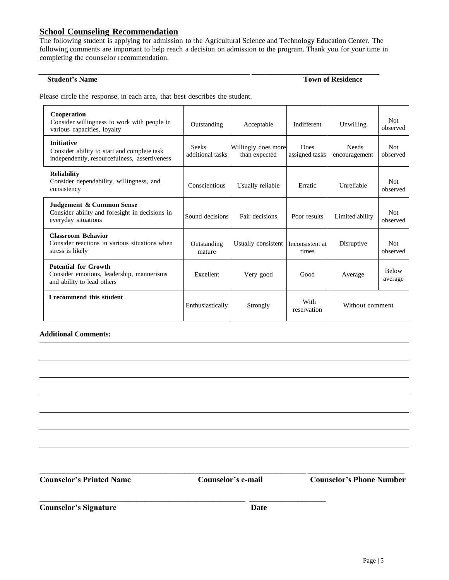## **School Counseling Recommendation**

The following student is applying for admission to the Agricultural Science and Technology Education Center. The following comments are important to help reach a decision on admission to the program. Thank you for your time in completing the counselor recommendation.

\_\_\_\_\_\_\_\_\_\_\_\_\_\_\_\_\_\_\_\_\_\_\_\_\_\_\_\_\_\_\_\_\_\_\_\_\_\_\_\_\_\_\_\_\_\_\_\_ \_\_\_\_\_\_\_\_\_\_\_\_\_\_\_\_\_\_\_\_\_\_\_\_\_\_\_\_\_

#### **Student's Name Town of Residence**

Please circle the response, in each area, that best describes the student.

| Cooperation<br>Consider willingness to work with people in<br>various capacities, loyalty                         | Outstanding                      | Acceptable                           | Indifferent              | Unwilling                     | <b>Not</b><br>observed  |
|-------------------------------------------------------------------------------------------------------------------|----------------------------------|--------------------------------------|--------------------------|-------------------------------|-------------------------|
| <b>Initiative</b><br>Consider ability to start and complete task<br>independently, resourcefulness, assertiveness | <b>Seeks</b><br>additional tasks | Willingly does more<br>than expected | Does<br>assigned tasks   | <b>Needs</b><br>encouragement | Not.<br>observed        |
| <b>Reliability</b><br>Consider dependability, willingness, and<br>consistency                                     | Conscientious                    | Usually reliable                     | Erratic                  | Unreliable                    | <b>Not</b><br>observed  |
| Judgement & Common Sense<br>Consider ability and foresight in decisions in<br>everyday situations                 | Sound decisions                  | Fair decisions                       | Poor results             | Limited ability               | <b>Not</b><br>observed  |
| <b>Classroom Behavior</b><br>Consider reactions in various situations when<br>stress is likely                    | Outstanding<br>mature            | Usually consistent                   | Inconsistent at<br>times | Disruptive                    | <b>Not</b><br>observed  |
| <b>Potential for Growth</b><br>Consider emotions, leadership, mannerisms<br>and ability to lead others            | Excellent                        | Very good                            | Good                     | Average                       | <b>Below</b><br>average |
| I recommend this student                                                                                          | Enthusiastically                 | Strongly                             | With<br>reservation      | Without comment               |                         |

#### **Additional Comments:**

**Counselor's Printed Name Counselor's e-mail Counselor's Phone Number**

\_\_\_\_\_\_\_\_\_\_\_\_\_\_\_\_\_\_\_\_\_\_\_\_\_\_\_\_\_\_\_\_\_\_\_\_\_\_\_\_\_\_\_\_\_\_\_\_\_\_\_\_\_\_\_\_\_\_\_\_\_\_\_\_\_\_ \_\_\_\_\_\_\_\_\_\_\_\_\_\_\_\_\_\_\_\_\_\_\_\_

\_\_\_\_\_\_\_\_\_\_\_\_\_\_\_\_\_\_\_\_\_\_\_\_\_\_\_\_\_\_\_\_\_\_\_\_\_\_\_\_\_\_\_\_\_\_\_\_\_\_\_ \_\_\_\_\_\_\_\_\_\_\_\_\_\_\_\_\_\_\_

**Counselor's Signature Date**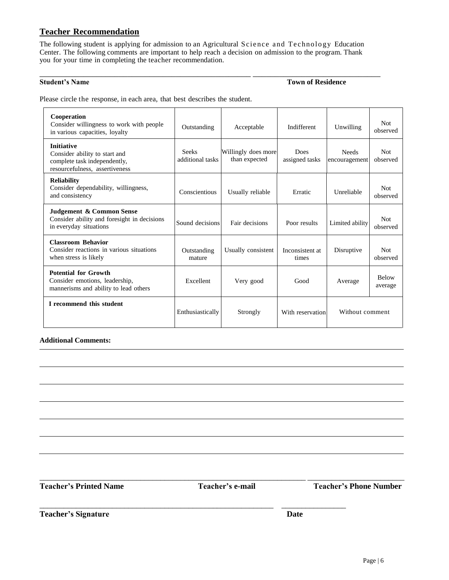### **Teacher Recommendation**

The following student is applying for admission to an Agricultural Science and Technology Education Center. The following comments are important to help reach a decision on admission to the program. Thank you for your time in completing the teacher recommendation.

\_\_\_\_\_\_\_\_\_\_\_\_\_\_\_\_\_\_\_\_\_\_\_\_\_\_\_\_\_\_\_\_\_\_\_\_\_\_\_\_\_\_\_\_\_\_\_\_ \_\_\_\_\_\_\_\_\_\_\_\_\_\_\_\_\_\_\_\_\_\_\_\_\_\_\_\_\_

**Student's Name <b>Town of Residence Town of Residence** 

Please circle the response, in each area, that best describes the student.

| Cooperation<br>Consider willingness to work with people<br>in various capacities, loyalty                            | Outstanding                      | Acceptable                           | Indifferent              | Unwilling                     | <b>Not</b><br>observed  |
|----------------------------------------------------------------------------------------------------------------------|----------------------------------|--------------------------------------|--------------------------|-------------------------------|-------------------------|
| <b>Initiative</b><br>Consider ability to start and<br>complete task independently,<br>resourcefulness, assertiveness | <b>Seeks</b><br>additional tasks | Willingly does more<br>than expected | Does<br>assigned tasks   | <b>Needs</b><br>encouragement | <b>Not</b><br>observed  |
| <b>Reliability</b><br>Consider dependability, willingness,<br>and consistency                                        | Conscientious                    | Usually reliable                     | Erratic                  | Unreliable                    | Not<br>observed         |
| Judgement & Common Sense<br>Consider ability and foresight in decisions<br>in everyday situations                    | Sound decisions                  | Fair decisions                       | Poor results             | Limited ability               | Not<br>observed         |
| <b>Classroom Behavior</b><br>Consider reactions in various situations<br>when stress is likely                       | Outstanding<br>mature            | Usually consistent                   | Inconsistent at<br>times | Disruptive                    | <b>Not</b><br>observed  |
| <b>Potential for Growth</b><br>Consider emotions, leadership,<br>mannerisms and ability to lead others               | Excellent                        | Very good                            | Good                     | Average                       | <b>Below</b><br>average |
| I recommend this student                                                                                             | Enthusiastically                 | Strongly                             | With reservation         | Without comment               |                         |

#### **Additional Comments:**

\_\_\_\_\_\_\_\_\_\_\_\_\_\_\_\_\_\_\_\_\_\_\_\_\_\_\_\_\_\_\_\_\_\_\_\_\_\_\_\_\_\_\_\_\_\_\_\_\_\_\_\_\_\_\_\_\_\_\_\_\_\_\_\_\_\_ \_\_\_\_\_\_\_\_\_\_\_\_\_\_\_\_\_\_\_\_\_\_\_\_

\_\_\_\_\_\_\_\_\_\_\_\_\_\_\_\_\_\_\_\_\_\_\_\_\_\_\_\_\_\_\_\_\_\_\_\_\_\_\_\_\_\_\_\_\_\_\_\_\_\_\_\_\_\_\_\_\_\_ \_\_\_\_\_\_\_\_\_\_\_\_\_\_\_\_

**Teacher's Printed Name Teacher's e-mail Teacher's Phone Number**

**Teacher's Signature Date**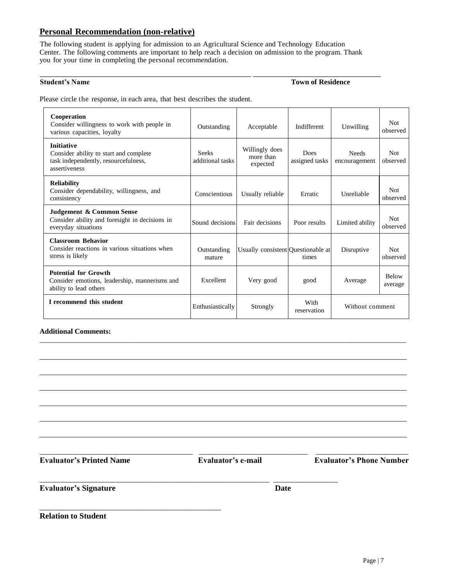#### **Personal Recommendation (non-relative)**

The following student is applying for admission to an Agricultural Science and Technology Education Center. The following comments are important to help reach a decision on admission to the program. Thank you for your time in completing the personal recommendation.

\_\_\_\_\_\_\_\_\_\_\_\_\_\_\_\_\_\_\_\_\_\_\_\_\_\_\_\_\_\_\_\_\_\_\_\_\_\_\_\_\_\_\_\_\_\_\_\_ \_\_\_\_\_\_\_\_\_\_\_\_\_\_\_\_\_\_\_\_\_\_\_\_\_\_\_\_\_

**Student's Name Town of Residence**

Please circle the response, in each area, that best describes the student.

| Cooperation<br>Consider willingness to work with people in<br>various capacities, loyalty                            | Outstanding                      | Acceptable                              | Indifferent            | Unwilling                     | <b>Not</b><br>observed  |
|----------------------------------------------------------------------------------------------------------------------|----------------------------------|-----------------------------------------|------------------------|-------------------------------|-------------------------|
| <b>Initiative</b><br>Consider ability to start and complete<br>task independently, resourcefulness,<br>assertiveness | <b>Seeks</b><br>additional tasks | Willingly does<br>more than<br>expected | Does<br>assigned tasks | <b>Needs</b><br>encouragement | <b>Not</b><br>observed  |
| <b>Reliability</b><br>Consider dependability, willingness, and<br>consistency                                        | Conscientious                    | Usually reliable                        | Erratic                | <b>Unreliable</b>             | Not<br>observed         |
| Judgement & Common Sense<br>Consider ability and foresight in decisions in<br>everyday situations                    | Sound decisions                  | Fair decisions                          | Poor results           | Limited ability               | <b>Not</b><br>observed  |
| <b>Classroom Behavior</b><br>Consider reactions in various situations when<br>stress is likely                       | Outstanding<br>mature            | Usually consistent Questionable at      | times                  | Disruptive                    | <b>Not</b><br>observed  |
| <b>Potential for Growth</b><br>Consider emotions, leadership, mannerisms and<br>ability to lead others               | Excellent                        | Very good                               | good                   | Average                       | <b>Below</b><br>average |
| I recommend this student                                                                                             | Enthusiastically                 | Strongly                                | With<br>reservation    | Without comment               |                         |

\_\_\_\_\_\_\_\_\_\_\_\_\_\_\_\_\_\_\_\_\_\_\_\_\_\_\_\_\_\_\_\_\_\_\_\_\_\_\_\_\_\_\_\_\_\_\_\_\_\_\_\_\_\_\_\_\_\_\_\_\_\_\_\_\_\_\_\_\_\_\_\_\_\_\_\_\_\_\_\_\_\_\_\_\_\_\_\_\_\_\_\_\_\_\_\_\_\_\_\_

#### **Additional Comments:**

\_\_\_\_\_\_\_\_\_\_\_\_\_\_\_\_\_\_\_\_\_\_\_\_\_\_\_\_\_\_\_\_\_\_\_\_\_\_\_\_\_\_\_\_\_

\_\_\_\_\_\_\_\_\_\_\_\_\_\_\_\_\_\_\_\_\_\_\_\_\_\_\_\_\_\_\_\_\_\_\_\_\_\_ \_\_\_\_\_\_\_\_\_\_\_\_\_\_\_\_\_\_\_\_\_\_\_\_\_\_\_ \_\_\_\_\_\_\_\_\_\_\_\_\_\_\_\_\_\_\_\_\_\_\_

\_\_\_\_\_\_\_\_\_\_\_\_\_\_\_\_\_\_\_\_\_\_\_\_\_\_\_\_\_\_\_\_\_\_\_\_\_\_\_\_\_\_\_\_\_\_\_\_\_\_\_\_\_\_\_\_\_ \_\_\_\_\_\_\_\_\_\_\_\_\_\_\_\_

**Evaluator's Printed Name Evaluator's e-mail Evaluator's Phone Number**

**Evaluator's Signature Date** 

**Relation to Student**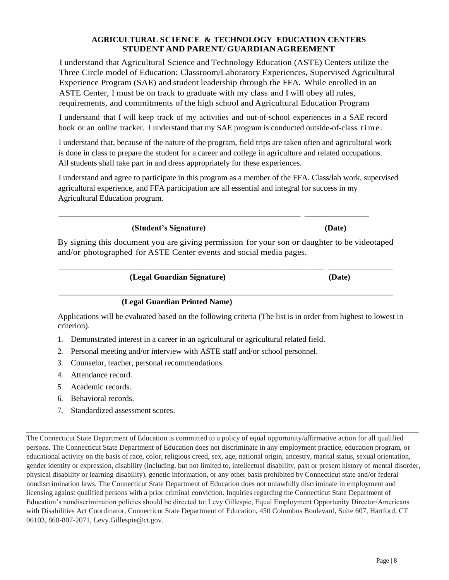#### **AGRICULTURAL SCIENCE & TECHNOLOGY EDUCATION CENTERS STUDENT AND PARENT/ GUARDIANAGREEMENT**

I understand that Agricultural Science and Technology Education (ASTE) Centers utilize the Three Circle model of Education: Classroom/Laboratory Experiences, Supervised Agricultural Experience Program (SAE) and student leadership through the FFA. While enrolled in an ASTE Center, I must be on track to graduate with my class and I will obey all rules, requirements, and commitments of the high school and Agricultural Education Program

I understand that I will keep track of my activities and out-of-school experiences in a SAE record book or an online tracker. I understand that my SAE program is conducted outside-of-class time.

I understand that, because of the nature of the program, field trips are taken often and agricultural work is done in class to prepare the student for a career and college in agriculture and related occupations. All students shall take part in and dress appropriately for these experiences.

I understand and agree to participate in this program as a member of the FFA. Class/lab work, supervised agricultural experience, and FFA participation are all essential and integral for success in my Agricultural Education program.

**(Student's Signature) (Date)**

By signing this document you are giving permission for your son or daughter to be videotaped and/or photographed for ASTE Center events and social media pages.

\_\_\_\_\_\_\_\_\_\_\_\_\_\_\_\_\_\_\_\_\_\_\_\_\_\_\_\_\_\_\_\_\_\_\_\_\_\_\_\_\_\_\_\_\_\_\_\_\_\_\_\_\_\_\_\_\_\_\_\_\_\_\_\_\_\_ \_\_\_\_\_\_\_\_\_\_\_\_\_\_\_\_

\_\_\_\_\_\_\_\_\_\_\_\_\_\_\_\_\_\_\_\_\_\_\_\_\_\_\_\_\_\_\_\_\_\_\_\_\_\_\_\_\_\_\_\_\_\_\_\_\_\_\_\_\_\_\_\_\_\_\_\_ \_\_\_\_\_\_\_\_\_\_\_\_\_\_\_\_

 **(Legal Guardian Signature) (Date)**

#### \_\_\_\_\_\_\_\_\_\_\_\_\_\_\_\_\_\_\_\_\_\_\_\_\_\_\_\_\_\_\_\_\_\_\_\_\_\_\_\_\_\_\_\_\_\_\_\_\_\_\_\_\_\_\_\_\_\_\_\_\_\_\_\_\_\_\_\_\_\_\_\_\_\_\_\_\_\_\_\_\_\_\_  **(Legal Guardian Printed Name)**

Applications will be evaluated based on the following criteria (The list is in order from highest to lowest in criterion).

- 1. Demonstrated interest in a career in an agricultural or agricultural related field.
- 2. Personal meeting and/or interview with ASTE staff and/or school personnel.
- 3. Counselor, teacher, personal recommendations.
- 4. Attendance record.
- 5. Academic records.
- 6. Behavioral records.
- 7. Standardized assessment scores.

The Connecticut State Department of Education is committed to a policy of equal opportunity/affirmative action for all qualified persons. The Connecticut State Department of Education does not discriminate in any employment practice, education program, or educational activity on the basis of race, color, religious creed, sex, age, national origin, ancestry, marital status, sexual orientation, gender identity or expression, disability (including, but not limited to, intellectual disability, past or present history of mental disorder, physical disability or learning disability), genetic information, or any other basis prohibited by Connecticut state and/or federal nondiscrimination laws. The Connecticut State Department of Education does not unlawfully discriminate in employment and licensing against qualified persons with a prior criminal conviction. Inquiries regarding the Connecticut State Department of Education's nondiscrimination policies should be directed to: Levy Gillespie, Equal Employment Opportunity Director/Americans with Disabilities Act Coordinator, Connecticut State Department of Education, 450 Columbus Boulevard, Suite 607, Hartford, CT 06103, 860-807-2071, Levy.Gillespie@ct.gov.

\_\_\_\_\_\_\_\_\_\_\_\_\_\_\_\_\_\_\_\_\_\_\_\_\_\_\_\_\_\_\_\_\_\_\_\_\_\_\_\_\_\_\_\_\_\_\_\_\_\_\_\_\_\_\_\_\_\_\_\_\_\_\_\_\_\_\_\_\_\_\_\_\_\_\_\_\_\_\_\_\_\_\_\_\_\_\_\_\_\_\_\_\_\_\_\_\_\_\_\_\_\_\_\_\_\_\_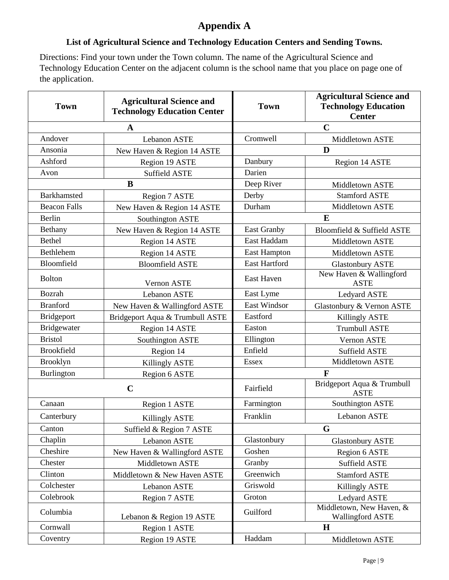# **Appendix A**

# **List of Agricultural Science and Technology Education Centers and Sending Towns.**

Directions: Find your town under the Town column. The name of the Agricultural Science and Technology Education Center on the adjacent column is the school name that you place on page one of the application.

| <b>Town</b>             | <b>Agricultural Science and</b><br><b>Technology Education Center</b> | <b>Town</b>          | <b>Agricultural Science and</b><br><b>Technology Education</b><br><b>Center</b> |
|-------------------------|-----------------------------------------------------------------------|----------------------|---------------------------------------------------------------------------------|
| $\mathbf A$             |                                                                       |                      | $\mathbf C$                                                                     |
| Andover<br>Lebanon ASTE |                                                                       | Cromwell             | Middletown ASTE                                                                 |
| Ansonia                 | New Haven & Region 14 ASTE                                            |                      | D                                                                               |
| Ashford                 | Region 19 ASTE                                                        | Danbury              | Region 14 ASTE                                                                  |
| Avon                    | <b>Suffield ASTE</b>                                                  | Darien               |                                                                                 |
|                         | $\bf{B}$                                                              | Deep River           | Middletown ASTE                                                                 |
| Barkhamsted             | Region 7 ASTE                                                         | Derby                | <b>Stamford ASTE</b>                                                            |
| <b>Beacon Falls</b>     | New Haven & Region 14 ASTE                                            | Durham               | Middletown ASTE                                                                 |
| Berlin                  | Southington ASTE                                                      |                      | E                                                                               |
| Bethany                 | New Haven & Region 14 ASTE                                            | <b>East Granby</b>   | Bloomfield & Suffield ASTE                                                      |
| Bethel                  | Region 14 ASTE                                                        | East Haddam          | Middletown ASTE                                                                 |
| Bethlehem               | Region 14 ASTE                                                        | <b>East Hampton</b>  | Middletown ASTE                                                                 |
| Bloomfield              | <b>Bloomfield ASTE</b>                                                | <b>East Hartford</b> | <b>Glastonbury ASTE</b>                                                         |
| <b>Bolton</b>           | Vernon ASTE                                                           | East Haven           | New Haven & Wallingford<br><b>ASTE</b>                                          |
| <b>Bozrah</b>           | <b>Lebanon ASTE</b>                                                   | East Lyme            | Ledyard ASTE                                                                    |
| <b>Branford</b>         | New Haven & Wallingford ASTE                                          | <b>East Windsor</b>  | Glastonbury & Vernon ASTE                                                       |
| <b>Bridgeport</b>       | Bridgeport Aqua & Trumbull ASTE                                       | Eastford             | <b>Killingly ASTE</b>                                                           |
| Bridgewater             | Region 14 ASTE                                                        | Easton               | <b>Trumbull ASTE</b>                                                            |
| <b>Bristol</b>          | Southington ASTE                                                      | Ellington            | Vernon ASTE                                                                     |
| <b>Brookfield</b>       | Region 14                                                             | Enfield              | <b>Suffield ASTE</b>                                                            |
| <b>Brooklyn</b>         | Killingly ASTE                                                        | <b>Essex</b>         | Middletown ASTE                                                                 |
| Burlington              | Region 6 ASTE                                                         | $\mathbf{F}$         |                                                                                 |
|                         | $\mathbf C$                                                           | Fairfield            | Bridgeport Aqua & Trumbull<br><b>ASTE</b>                                       |
| Canaan                  | Region 1 ASTE                                                         | Farmington           | Southington ASTE                                                                |
| Canterbury              | <b>Killingly ASTE</b>                                                 | Franklin             | Lebanon ASTE                                                                    |
| Canton                  | Suffield & Region 7 ASTE                                              |                      | G                                                                               |
| Chaplin                 | Lebanon ASTE                                                          | Glastonbury          | <b>Glastonbury ASTE</b>                                                         |
| Cheshire                | New Haven & Wallingford ASTE                                          | Goshen               | Region 6 ASTE                                                                   |
| Chester                 | Middletown ASTE                                                       | Granby               | <b>Suffield ASTE</b>                                                            |
| Clinton                 | Middletown & New Haven ASTE                                           | Greenwich            | <b>Stamford ASTE</b>                                                            |
| Colchester              | Lebanon ASTE                                                          | Griswold             | <b>Killingly ASTE</b>                                                           |
| Colebrook               | Region 7 ASTE                                                         | Groton               | Ledyard ASTE                                                                    |
| Columbia                | Lebanon & Region 19 ASTE                                              | Guilford             | Middletown, New Haven, &<br><b>Wallingford ASTE</b>                             |
| Cornwall                | Region 1 ASTE                                                         |                      | H                                                                               |
| Coventry                | Region 19 ASTE                                                        | Haddam               | Middletown ASTE                                                                 |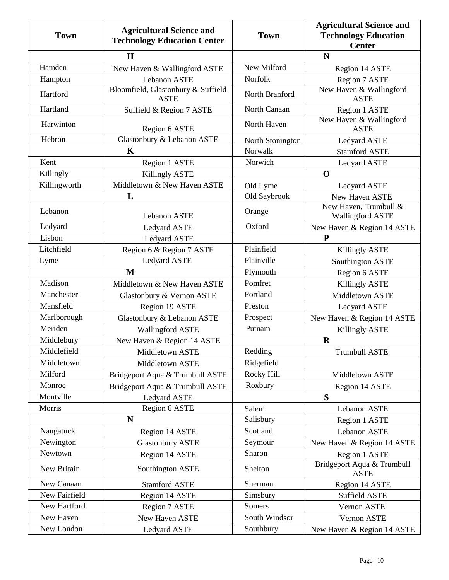| <b>Town</b>   | <b>Agricultural Science and</b><br><b>Technology Education Center</b> | <b>Town</b>      | <b>Agricultural Science and</b><br><b>Technology Education</b><br><b>Center</b> |
|---------------|-----------------------------------------------------------------------|------------------|---------------------------------------------------------------------------------|
| $\mathbf H$   |                                                                       |                  | N                                                                               |
| Hamden        | New Haven & Wallingford ASTE                                          | New Milford      | Region 14 ASTE                                                                  |
| Hampton       | Lebanon ASTE                                                          | Norfolk          | Region 7 ASTE                                                                   |
| Hartford      | Bloomfield, Glastonbury & Suffield<br><b>ASTE</b>                     | North Branford   | New Haven & Wallingford<br><b>ASTE</b>                                          |
| Hartland      | Suffield & Region 7 ASTE                                              | North Canaan     | Region 1 ASTE                                                                   |
| Harwinton     | Region 6 ASTE                                                         | North Haven      | New Haven & Wallingford<br><b>ASTE</b>                                          |
| Hebron        | Glastonbury & Lebanon ASTE                                            | North Stonington | Ledyard ASTE                                                                    |
|               | $\mathbf K$                                                           | Norwalk          | <b>Stamford ASTE</b>                                                            |
| Kent          | Region 1 ASTE                                                         | Norwich          | Ledyard ASTE                                                                    |
| Killingly     | <b>Killingly ASTE</b>                                                 |                  | $\mathbf 0$                                                                     |
| Killingworth  | Middletown & New Haven ASTE                                           | Old Lyme         | Ledyard ASTE                                                                    |
|               | L                                                                     | Old Saybrook     | New Haven ASTE                                                                  |
| Lebanon       | <b>Lebanon ASTE</b>                                                   | Orange           | New Haven, Trumbull &<br><b>Wallingford ASTE</b>                                |
| Ledyard       | Ledyard ASTE                                                          | Oxford           | New Haven & Region 14 ASTE                                                      |
| Lisbon        | Ledyard ASTE                                                          |                  | ${\bf P}$                                                                       |
| Litchfield    | Region 6 & Region 7 ASTE                                              | Plainfield       | Killingly ASTE                                                                  |
| Lyme          | Ledyard ASTE                                                          | Plainville       | Southington ASTE                                                                |
|               | $\mathbf{M}$                                                          | Plymouth         | Region 6 ASTE                                                                   |
| Madison       | Middletown & New Haven ASTE                                           | Pomfret          | <b>Killingly ASTE</b>                                                           |
| Manchester    | Glastonbury & Vernon ASTE                                             | Portland         | Middletown ASTE                                                                 |
| Mansfield     | Region 19 ASTE                                                        | Preston          | Ledyard ASTE                                                                    |
| Marlborough   | Glastonbury & Lebanon ASTE                                            | Prospect         | New Haven & Region 14 ASTE                                                      |
| Meriden       | <b>Wallingford ASTE</b>                                               | Putnam           | <b>Killingly ASTE</b>                                                           |
| Middlebury    | New Haven & Region 14 ASTE                                            |                  | $\mathbf R$                                                                     |
| Middlefield   | Middletown ASTE                                                       | Redding          | <b>Trumbull ASTE</b>                                                            |
| Middletown    | Middletown ASTE                                                       | Ridgefield       |                                                                                 |
| Milford       | Bridgeport Aqua & Trumbull ASTE                                       | Rocky Hill       | Middletown ASTE                                                                 |
| Monroe        | Bridgeport Aqua & Trumbull ASTE                                       | Roxbury          | Region 14 ASTE                                                                  |
| Montville     | Ledyard ASTE                                                          |                  | S                                                                               |
| Morris        | Region 6 ASTE                                                         | Salem            | Lebanon ASTE                                                                    |
|               | N                                                                     | Salisbury        | Region 1 ASTE                                                                   |
| Naugatuck     | Region 14 ASTE                                                        | Scotland         | Lebanon ASTE                                                                    |
| Newington     | <b>Glastonbury ASTE</b>                                               | Seymour          | New Haven & Region 14 ASTE                                                      |
| Newtown       | Region 14 ASTE                                                        | Sharon           | Region 1 ASTE                                                                   |
| New Britain   | Southington ASTE                                                      | Shelton          | Bridgeport Aqua & Trumbull<br><b>ASTE</b>                                       |
| New Canaan    | <b>Stamford ASTE</b>                                                  | Sherman          | Region 14 ASTE                                                                  |
| New Fairfield | Region 14 ASTE                                                        | Simsbury         | Suffield ASTE                                                                   |
| New Hartford  | Region 7 ASTE                                                         | Somers           | Vernon ASTE                                                                     |
| New Haven     | New Haven ASTE                                                        | South Windsor    | Vernon ASTE                                                                     |
| New London    | Ledyard ASTE                                                          | Southbury        | New Haven & Region 14 ASTE                                                      |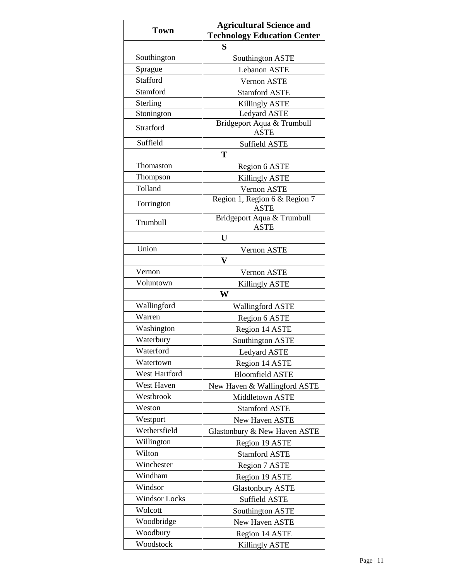| <b>Town</b>          | <b>Agricultural Science and</b><br><b>Technology Education Center</b> |  |  |
|----------------------|-----------------------------------------------------------------------|--|--|
|                      | S                                                                     |  |  |
| Southington          | Southington ASTE                                                      |  |  |
| Sprague              | <b>Lebanon ASTE</b>                                                   |  |  |
| <b>Stafford</b>      | Vernon ASTE                                                           |  |  |
| Stamford             | <b>Stamford ASTE</b>                                                  |  |  |
| Sterling             | <b>Killingly ASTE</b>                                                 |  |  |
| Stonington           | Ledyard ASTE                                                          |  |  |
| Stratford            | Bridgeport Aqua & Trumbull<br><b>ASTE</b>                             |  |  |
| Suffield             | Suffield ASTE                                                         |  |  |
|                      | T                                                                     |  |  |
| Thomaston            | Region 6 ASTE                                                         |  |  |
| Thompson             | <b>Killingly ASTE</b>                                                 |  |  |
| Tolland              | Vernon ASTE                                                           |  |  |
| Torrington           | Region 1, Region 6 & Region 7<br><b>ASTE</b>                          |  |  |
| Trumbull             | Bridgeport Aqua & Trumbull<br><b>ASTE</b>                             |  |  |
|                      | U                                                                     |  |  |
| Union                | Vernon ASTE                                                           |  |  |
|                      | V                                                                     |  |  |
| Vernon               | <b>Vernon ASTE</b>                                                    |  |  |
| Voluntown            | <b>Killingly ASTE</b>                                                 |  |  |
|                      | W                                                                     |  |  |
| Wallingford          | <b>Wallingford ASTE</b>                                               |  |  |
| Warren               | Region 6 ASTE                                                         |  |  |
| Washington           | Region 14 ASTE                                                        |  |  |
| Waterbury            | Southington ASTE                                                      |  |  |
| Waterford            | <b>Ledyard ASTE</b>                                                   |  |  |
| Watertown            | Region 14 ASTE                                                        |  |  |
| West Hartford        | <b>Bloomfield ASTE</b>                                                |  |  |
| West Haven           | New Haven & Wallingford ASTE                                          |  |  |
| Westbrook            | Middletown ASTE                                                       |  |  |
| Weston               | <b>Stamford ASTE</b>                                                  |  |  |
| Westport             | New Haven ASTE                                                        |  |  |
| Wethersfield         | Glastonbury & New Haven ASTE                                          |  |  |
| Willington           | Region 19 ASTE                                                        |  |  |
| Wilton               | <b>Stamford ASTE</b>                                                  |  |  |
| Winchester           | Region 7 ASTE                                                         |  |  |
| Windham              | Region 19 ASTE                                                        |  |  |
| Windsor              | <b>Glastonbury ASTE</b>                                               |  |  |
| <b>Windsor Locks</b> | Suffield ASTE                                                         |  |  |
| Wolcott              | Southington ASTE                                                      |  |  |
| Woodbridge           | New Haven ASTE                                                        |  |  |
| Woodbury             | Region 14 ASTE                                                        |  |  |
| Woodstock            | <b>Killingly ASTE</b>                                                 |  |  |